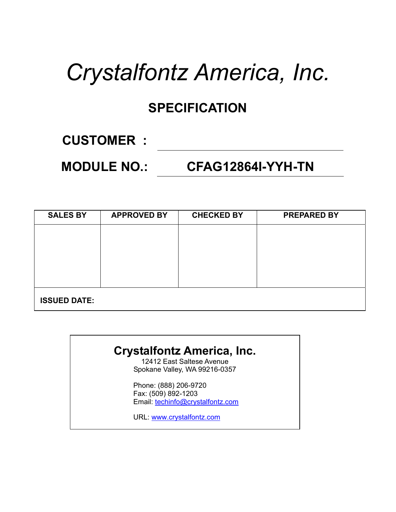# *Crystalfontz America, Inc.*

# **SPECIFICATION**

### **CUSTOMER :**

### **MODULE NO.: CFAG12864I-YYH-TN**

| <b>SALES BY</b>     | <b>APPROVED BY</b> | <b>CHECKED BY</b> | <b>PREPARED BY</b> |
|---------------------|--------------------|-------------------|--------------------|
|                     |                    |                   |                    |
|                     |                    |                   |                    |
|                     |                    |                   |                    |
|                     |                    |                   |                    |
| <b>ISSUED DATE:</b> |                    |                   |                    |

#### **Crystalfontz America, Inc.**

12412 East Saltese Avenue Spokane Valley, WA 99216-0357

Phone: (888) 206-9720 Fax: (509) 892-1203 Email: techinfo@crystalfontz.com

URL: www.crystalfontz.com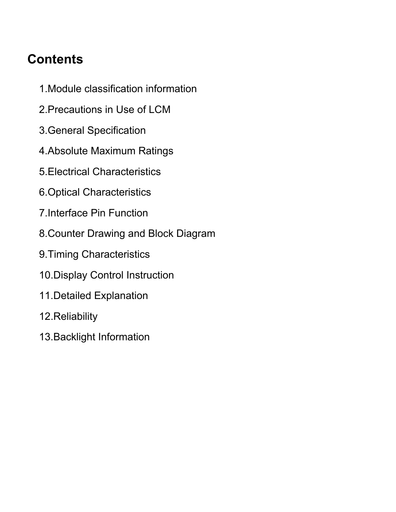# **Contents**

- 1.Module classification information
- 2.Precautions in Use of LCM
- 3.General Specification
- 4.Absolute Maximum Ratings
- 5.Electrical Characteristics
- 6.Optical Characteristics
- 7.Interface Pin Function
- 8.Counter Drawing and Block Diagram
- 9.Timing Characteristics
- 10.Display Control Instruction
- 11.Detailed Explanation
- 12.Reliability
- 13.Backlight Information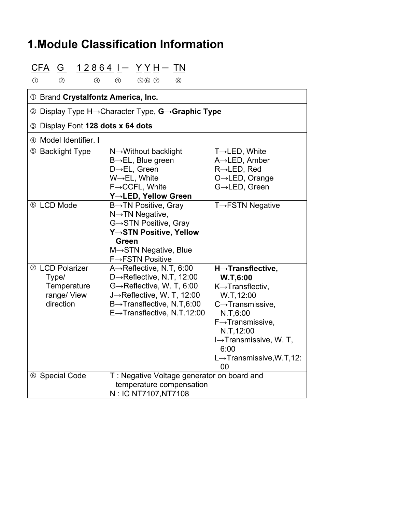### **1.Module Classification Information**

# $CFA$  G  $12864$   $I - YYH - TN$

 $0$   $0$   $0$   $0$   $0$   $0$   $0$   $0$   $0$   $0$ 

|                | 10 Brand Crystalfontz America, Inc.                                      |                                                                                                                                                                                                                                |                                                                                                                                                                                                                                                                        |  |  |  |  |  |  |  |
|----------------|--------------------------------------------------------------------------|--------------------------------------------------------------------------------------------------------------------------------------------------------------------------------------------------------------------------------|------------------------------------------------------------------------------------------------------------------------------------------------------------------------------------------------------------------------------------------------------------------------|--|--|--|--|--|--|--|
|                |                                                                          | $\circledcirc$ Display Type H $\rightarrow$ Character Type, <b>G</b> $\rightarrow$ <b>Graphic Type</b>                                                                                                                         |                                                                                                                                                                                                                                                                        |  |  |  |  |  |  |  |
| ③              | Display Font 128 dots x 64 dots                                          |                                                                                                                                                                                                                                |                                                                                                                                                                                                                                                                        |  |  |  |  |  |  |  |
|                | 4 Model Identifier. I                                                    |                                                                                                                                                                                                                                |                                                                                                                                                                                                                                                                        |  |  |  |  |  |  |  |
|                | <b>5</b> Backlight Type                                                  | N→Without backlight<br>$B\rightarrow EL$ , Blue green<br>$D \rightarrow EL$ , Green<br>$W \rightarrow FL$ , White<br>$F \rightarrow CCFL$ , White<br>Y→LED, Yellow Green                                                       | $T\rightarrow$ LED, White<br>A→LED, Amber<br>$R\rightarrow$ LED, Red<br>$O \rightarrow$ LED, Orange<br>G→LED, Green                                                                                                                                                    |  |  |  |  |  |  |  |
|                | © LCD Mode                                                               | B→TN Positive, Gray<br>$N \rightarrow TN$ Negative,<br>G→STN Positive, Gray<br>Y→STN Positive, Yellow<br><b>Green</b><br>M→STN Negative, Blue<br>$F \rightarrow FSTN$ Positive                                                 | $T \rightarrow FSTN$ Negative                                                                                                                                                                                                                                          |  |  |  |  |  |  |  |
| $^{\circledR}$ | <b>LCD Polarizer</b><br>Type/<br>Temperature<br>range/ View<br>direction | $A \rightarrow$ Reflective, N.T, 6:00<br>D→Reflective, N.T, 12:00<br>$G \rightarrow$ Reflective, W. T, 6:00<br>J-Reflective, W. T, 12:00<br>$B\rightarrow$ Transflective, N.T,6:00<br>$E \rightarrow$ Transflective, N.T.12:00 | $H \rightarrow$ Transflective,<br>W.T.6:00<br>$K \rightarrow$ Transflectiv,<br>W.T.12:00<br>$C \rightarrow$ Transmissive,<br>N.T, 6:00<br>$F \rightarrow$ Transmissive,<br>N.T, 12:00<br>I→Transmissive, W. T,<br>6:00<br>$L \rightarrow$ Transmissive, W.T, 12:<br>00 |  |  |  |  |  |  |  |
|                | <sup>8</sup> Special Code                                                | T: Negative Voltage generator on board and<br>temperature compensation<br>N: IC NT7107, NT7108                                                                                                                                 |                                                                                                                                                                                                                                                                        |  |  |  |  |  |  |  |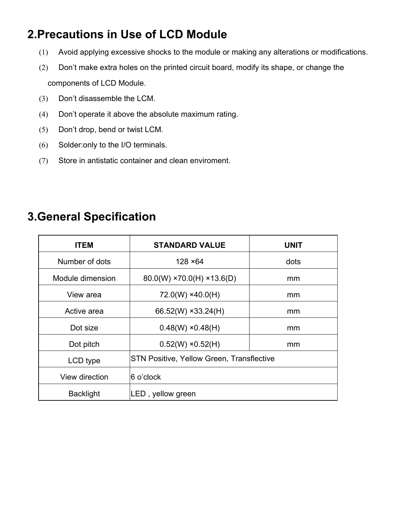### **2.Precautions in Use of LCD Module**

- (1) Avoid applying excessive shocks to the module or making any alterations or modifications.
- (2) Don't make extra holes on the printed circuit board, modify its shape, or change the components of LCD Module.
- (3) Don't disassemble the LCM.
- (4) Don't operate it above the absolute maximum rating.
- (5) Don't drop, bend or twist LCM.
- (6) Solder:only to the I/O terminals.
- (7) Store in antistatic container and clean enviroment.

#### **3.General Specification**

| <b>ITEM</b>      | <b>STANDARD VALUE</b>                            | <b>UNIT</b> |
|------------------|--------------------------------------------------|-------------|
| Number of dots   | $128 \times 64$                                  | dots        |
| Module dimension | $80.0(W)$ ×70.0(H) ×13.6(D)                      | mm          |
| View area        | $72.0(W)$ ×40.0(H)                               | mm          |
| Active area      | 66.52(W) $\times$ 33.24(H)                       | mm          |
| Dot size         | $0.48(W) \times 0.48(H)$                         | mm          |
| Dot pitch        | $0.52(W) \times 0.52(H)$                         | mm          |
| LCD type         | <b>STN Positive, Yellow Green, Transflective</b> |             |
| View direction   | 6 o'clock                                        |             |
| <b>Backlight</b> | LED, yellow green                                |             |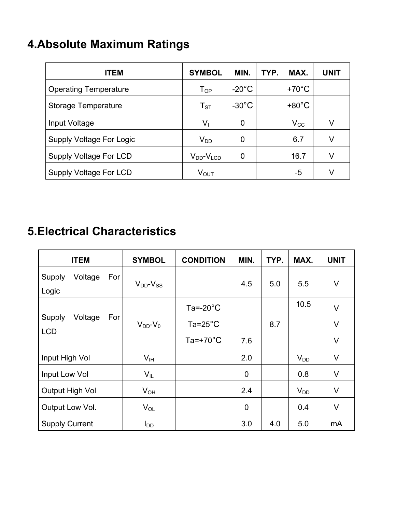# **4.Absolute Maximum Ratings**

| <b>ITEM</b>                     | <b>SYMBOL</b>              | MIN.            | TYP. | MAX.            | <b>UNIT</b> |
|---------------------------------|----------------------------|-----------------|------|-----------------|-------------|
| <b>Operating Temperature</b>    | $\mathsf{T}_{\mathsf{OP}}$ | $-20^{\circ}$ C |      | $+70^{\circ}$ C |             |
| Storage Temperature             | $\mathsf{T}_{\text{ST}}$   | $-30^{\circ}$ C |      | $+80^{\circ}$ C |             |
| Input Voltage                   | $V_1$                      | 0               |      | $V_{\rm CC}$    | ٧           |
| <b>Supply Voltage For Logic</b> | $V_{DD}$                   | 0               |      | 6.7             | V           |
| Supply Voltage For LCD          | $V_{DD}$ - $V_{LCD}$       | 0               |      | 16.7            | V           |
| Supply Voltage For LCD          | $V_{OUT}$                  |                 |      | -5              | V           |

### **5.Electrical Characteristics**

| <b>ITEM</b>                            | <b>SYMBOL</b>       | <b>CONDITION</b>    | MIN.           | TYP. | MAX.     | <b>UNIT</b> |
|----------------------------------------|---------------------|---------------------|----------------|------|----------|-------------|
| Voltage<br>Supply<br>For<br>Logic      | $V_{DD}$ - $V_{SS}$ |                     | 4.5            | 5.0  | 5.5      | $\vee$      |
|                                        |                     | Ta=-20 $^{\circ}$ C |                |      | 10.5     | $\vee$      |
| Voltage<br>Supply<br>For<br><b>LCD</b> | $V_{DD}$ - $V_0$    | $Ta = 25^{\circ}C$  |                | 8.7  |          | $\vee$      |
|                                        |                     | Ta=+70 $^{\circ}$ C | 7.6            |      |          | $\vee$      |
| Input High Vol                         | V <sub>IH</sub>     |                     | 2.0            |      | $V_{DD}$ | $\vee$      |
| Input Low Vol                          | $V_{IL}$            |                     | $\overline{0}$ |      | 0.8      | $\vee$      |
| Output High Vol                        | $V_{OH}$            |                     | 2.4            |      | $V_{DD}$ | V           |
| Output Low Vol.                        | $V_{OL}$            |                     | $\overline{0}$ |      | 0.4      | $\vee$      |
| <b>Supply Current</b>                  | $I_{DD}$            |                     | 3.0            | 4.0  | 5.0      | mA          |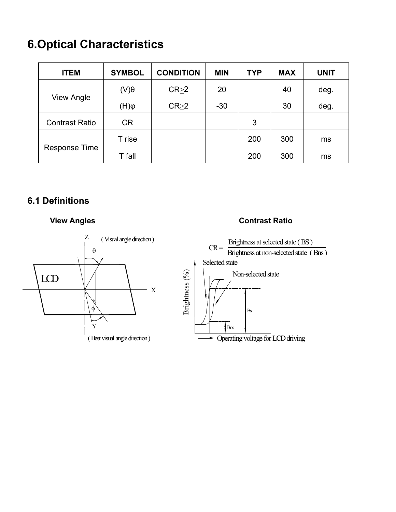### **6.Optical Characteristics**

| <b>ITEM</b>           | <b>SYMBOL</b> | <b>CONDITION</b> | <b>MIN</b> | <b>TYP</b> | <b>MAX</b> | <b>UNIT</b> |
|-----------------------|---------------|------------------|------------|------------|------------|-------------|
|                       | $(V)\theta$   | $CR \geq 2$      | 20         |            | 40         | deg.        |
| View Angle            | $\phi(H)$     | $CR \geq 2$      | $-30$      |            | 30         | deg.        |
| <b>Contrast Ratio</b> | <b>CR</b>     |                  |            | 3          |            |             |
|                       | T rise        |                  |            | 200        | 300        | ms          |
| Response Time         | T fall        |                  |            | 200        | 300        | ms          |

#### **6.1 Definitions**





#### **View Angles Contrast Ratio**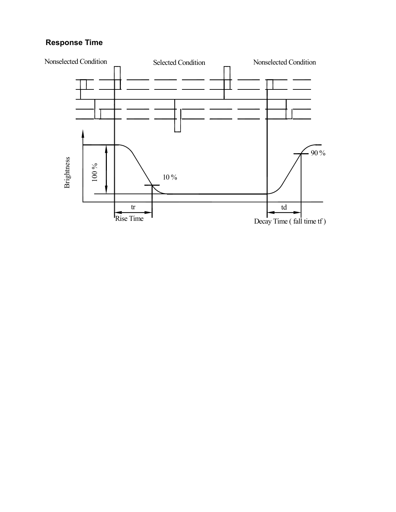#### **Response Time**

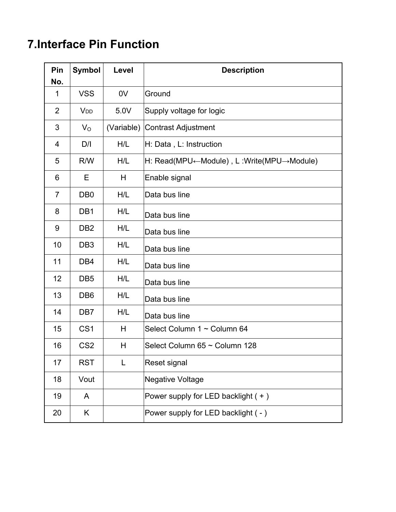### **7.Interface Pin Function**

| Pin<br>No.     | <b>Symbol</b>   | Level      | <b>Description</b>                       |
|----------------|-----------------|------------|------------------------------------------|
| 1              | <b>VSS</b>      | 0V         | Ground                                   |
| $\overline{2}$ | V <sub>DD</sub> | 5.0V       | Supply voltage for logic                 |
| 3              | $V_{\rm O}$     | (Variable) | Contrast Adjustment                      |
| 4              | D/I             | H/L        | H: Data, L: Instruction                  |
| 5              | R/W             | H/L        | H: Read(MPU←Module), L:Write(MPU→Module) |
| 6              | E               | H          | Enable signal                            |
| $\overline{7}$ | DB <sub>0</sub> | H/L        | Data bus line                            |
| 8              | DB1             | H/L        | Data bus line                            |
| 9              | DB <sub>2</sub> | H/L        | Data bus line                            |
| 10             | DB <sub>3</sub> | H/L        | Data bus line                            |
| 11             | DB4             | H/L        | Data bus line                            |
| 12             | DB <sub>5</sub> | H/L        | Data bus line                            |
| 13             | DB <sub>6</sub> | H/L        | Data bus line                            |
| 14             | DB <sub>7</sub> | H/L        | Data bus line                            |
| 15             | CS <sub>1</sub> | H          | Select Column 1 ~ Column 64              |
| 16             | CS <sub>2</sub> | H          | Select Column 65 ~ Column 128            |
| 17             | <b>RST</b>      | L          | Reset signal                             |
| 18             | Vout            |            | <b>Negative Voltage</b>                  |
| 19             | A               |            | Power supply for LED backlight (+)       |
| 20             | Κ               |            | Power supply for LED backlight ( - )     |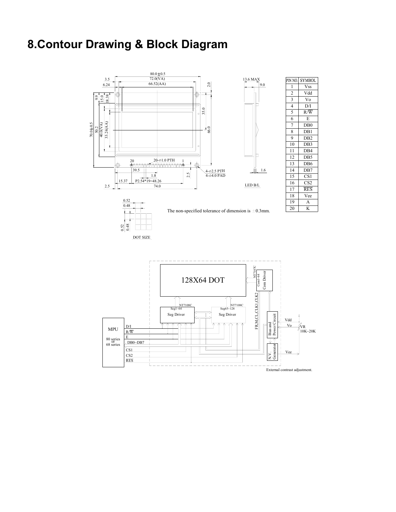#### **8.Contour Drawing & Block Diagram**

RES

CS2 CS1

 $\begin{array}{c}\n 80 \text{ series} \\
\text{or} \\
68 \text{ series}\n \end{array}\n \begin{array}{c}\n \overline{\text{L}} \\
\overline{\text{DB0}-\text{DB7}} \\
\overline{\text{DB0}} \\
\end{array}$ E<br>DB0~DB7 R/W D/I

MPU



π

 $\frac{V_0}{V_1}$   $\frac{V_0}{V_1}$   $\frac{V_0}{V_1}$   $\frac{V_0}{V_0}$ 

K

RES C<sub>S2</sub>

DB7

D<sub>B5</sub>

D<sub>B4</sub>

Vdd  $\overline{V_0}$ D/I  $R/\overline{W}$ 

DB0 D<sub>B1</sub> DB2 D<sub>B</sub>3

E

Vee

Vee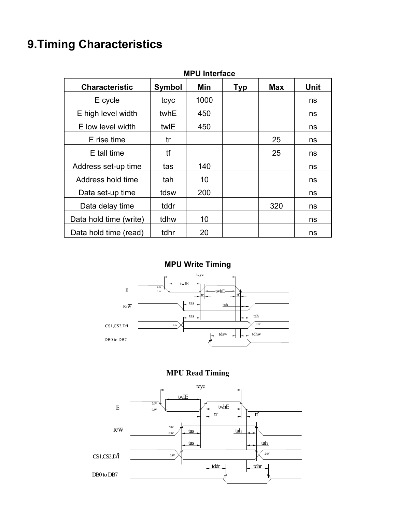### **9.Timing Characteristics**

| <b>MPU Interface</b>   |        |      |            |            |      |  |  |  |  |  |  |
|------------------------|--------|------|------------|------------|------|--|--|--|--|--|--|
| <b>Characteristic</b>  | Symbol | Min  | <b>Typ</b> | <b>Max</b> | Unit |  |  |  |  |  |  |
| E cycle                | tcyc   | 1000 |            |            | ns   |  |  |  |  |  |  |
| E high level width     | twhE   | 450  |            |            | ns   |  |  |  |  |  |  |
| E low level width      | twlE   | 450  |            |            | ns   |  |  |  |  |  |  |
| E rise time            | tr     |      |            | 25         | ns   |  |  |  |  |  |  |
| E tall time            | tf     |      |            | 25         | ns   |  |  |  |  |  |  |
| Address set-up time    | tas    | 140  |            |            | ns   |  |  |  |  |  |  |
| Address hold time      | tah    | 10   |            |            | ns   |  |  |  |  |  |  |
| Data set-up time       | tdsw   | 200  |            |            | ns   |  |  |  |  |  |  |
| Data delay time        | tddr   |      |            | 320        | ns   |  |  |  |  |  |  |
| Data hold time (write) | tdhw   | 10   |            |            | ns   |  |  |  |  |  |  |
| Data hold time (read)  | tdhr   | 20   |            |            | ns   |  |  |  |  |  |  |

**MPU Write Timing** 





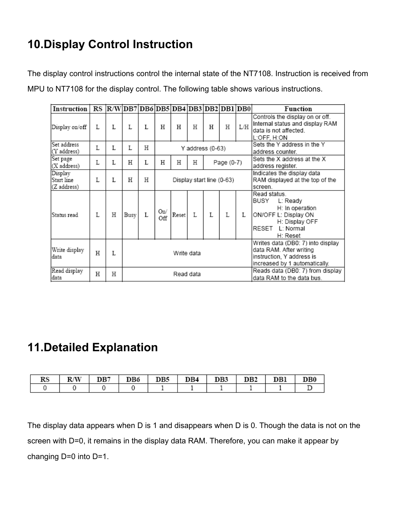### **10.Display Control Instruction**

The display control instructions control the internal state of the NT7108. Instruction is received from MPU to NT7108 for the display control. The following table shows various instructions.

| Instruction                          | RS |   |      | R/W DB7 DB6 DB5 DB4 DB3 DB2 DB1 DB0 |                           |                      |    |                  |                                                                                                                            |                                                                          | Function                                                                                                                        |
|--------------------------------------|----|---|------|-------------------------------------|---------------------------|----------------------|----|------------------|----------------------------------------------------------------------------------------------------------------------------|--------------------------------------------------------------------------|---------------------------------------------------------------------------------------------------------------------------------|
| Display on/off                       | L  | L | L    | L                                   | Η                         | н                    | Η  | н                | Η                                                                                                                          | L/H                                                                      | Controls the display on or off.<br>Internal status and display RAM<br>data is not affected.<br>L:OFF, H:ON                      |
| Set address<br>(Y address)           | L  | L | L    | Η                                   |                           |                      |    | Y address (0-63) |                                                                                                                            |                                                                          | Sets the Y address in the Y<br>address counter.                                                                                 |
| Set page<br>(X address)              | L  | L | Η    | L                                   | Η                         | Η<br>Η<br>Page (0-7) |    |                  |                                                                                                                            |                                                                          | Sets the X address at the X<br>address register.                                                                                |
| Display<br>Start line<br>(Z address) | L  | L | Η    | Η                                   | Display start line (0-63) |                      |    |                  |                                                                                                                            | Indicates the display data<br>RAM displayed at the top of the<br>screen. |                                                                                                                                 |
| Status read                          | L  | Η | Busy | L                                   | On/<br>Off                | Reset                | T. | L                | L                                                                                                                          | L                                                                        | Read status.<br>BUSY<br>L: Ready<br>H: In operation<br>ON/OFF L: Display ON<br>H: Display OFF<br>RESET<br>L: Normal<br>H: Reset |
| Write display<br>data                | Η  | L |      | Write data                          |                           |                      |    |                  | Writes data (DB0: 7) into display<br>data RAM. After writing<br>instruction, Y address is<br>increased by 1 automatically. |                                                                          |                                                                                                                                 |
| Read display<br>data                 | Η  | Η |      |                                     |                           | Read data            |    |                  |                                                                                                                            |                                                                          | Reads data (DB0: 7) from display<br>data RAM to the data bus.                                                                   |

#### **11.Detailed Explanation**

| rэ |  | DB6 | DB5. | R4 | R٩ | DB2 | 11 H I |  |
|----|--|-----|------|----|----|-----|--------|--|
|    |  |     |      |    |    |     |        |  |

The display data appears when D is 1 and disappears when D is 0. Though the data is not on the screen with D=0, it remains in the display data RAM. Therefore, you can make it appear by changing D=0 into D=1.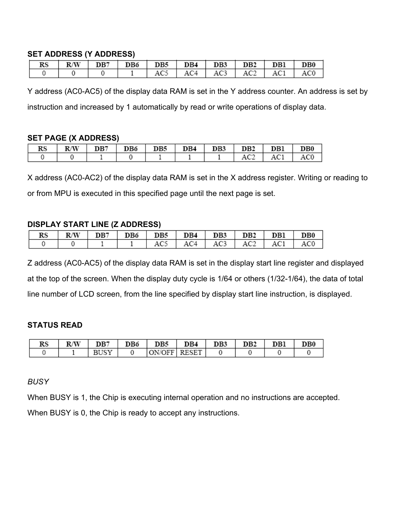#### **SET ADDRESS (Y ADDRESS)**

| RS |  |  |  | R/W   DB7   DB6   DB5   DB4   DB3   DB2   DB1   DB0 |  |
|----|--|--|--|-----------------------------------------------------|--|
|    |  |  |  | $AC5$   $AC4$   $AC3$   $AC2$   $AC1$   $AC0$       |  |

Y address (AC0-AC5) of the display data RAM is set in the Y address counter. An address is set by instruction and increased by 1 automatically by read or write operations of display data.

#### **SET PAGE (X ADDRESS)**

|  |  | $RS$   $RW$   $DB7$   $DB6$   $DB5$   $DB4$   $DB3$   $DB2$   $DB1$ |  |                       | DB0 |
|--|--|---------------------------------------------------------------------|--|-----------------------|-----|
|  |  |                                                                     |  | $AC2$   $AC1$   $AC0$ |     |

X address (AC0-AC2) of the display data RAM is set in the X address register. Writing or reading to or from MPU is executed in this specified page until the next page is set.

#### **DISPLAY START LINE (Z ADDRESS)**

| RS | R/W | DB7 | DB6 | DB5 | DB4 | DB3                                             | DB <sub>2</sub> | DB1 | DB0 |
|----|-----|-----|-----|-----|-----|-------------------------------------------------|-----------------|-----|-----|
|    |     |     |     | AC5 |     | $\vert$ AC4 $\vert$ AC3 $\vert$ AC2 $\vert$ AC1 |                 |     | AC0 |

Z address (AC0-AC5) of the display data RAM is set in the display start line register and displayed at the top of the screen. When the display duty cycle is 1/64 or others (1/32-1/64), the data of total line number of LCD screen, from the line specified by display start line instruction, is displayed.

#### **STATUS READ**

| RS | R/W | DB7 | DB6 | DB5 | ١R4 | DB3 | DB2 | DBl | B0 |
|----|-----|-----|-----|-----|-----|-----|-----|-----|----|
|    |     | o.  |     |     |     |     |     |     |    |

#### *BUSY*

When BUSY is 1, the Chip is executing internal operation and no instructions are accepted.

When BUSY is 0, the Chip is ready to accept any instructions.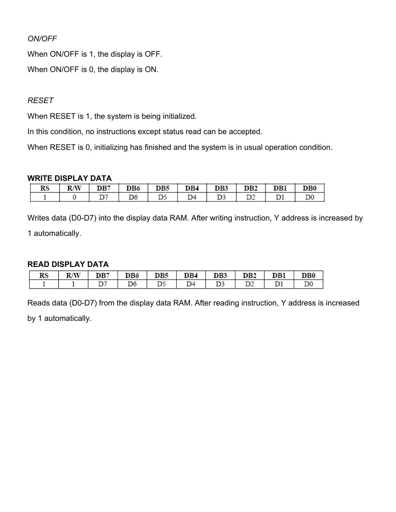#### *ON/OFF*

When ON/OFF is 1, the display is OFF.

When ON/OFF is 0, the display is ON.

#### *RESET*

When RESET is 1, the system is being initialized.

In this condition, no instructions except status read can be accepted.

When RESET is 0, initializing has finished and the system is in usual operation condition.

#### **WRITE DISPLAY DATA**

| RS | R/W | DB7 | DB6 | DB5 | DB4 | DB3 | DB <sub>2</sub> | DBl | DB0 |
|----|-----|-----|-----|-----|-----|-----|-----------------|-----|-----|
|    |     |     |     |     | 34ء |     |                 |     |     |

Writes data (D0-D7) into the display data RAM. After writing instruction, Y address is increased by

1 automatically.

#### **READ DISPLAY DATA**

| RS | R/W | DB7 | DB6 | DB5   | DB4 | DB3 | DB2 | DB1 | DB0 |
|----|-----|-----|-----|-------|-----|-----|-----|-----|-----|
|    |     |     | D6  | 1 D.S | D4  | D3  | D2  |     |     |

Reads data (D0-D7) from the display data RAM. After reading instruction, Y address is increased

by 1 automatically.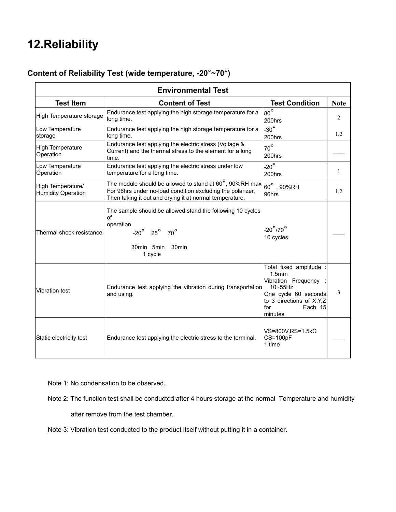### **12.Reliability**

#### **Content of Reliability Test (wide temperature, -20**°**~70**°**)**

| <b>Environmental Test</b>                      |                                                                                                                                                                                          |                                                                                                                                                     |              |  |  |  |  |  |  |
|------------------------------------------------|------------------------------------------------------------------------------------------------------------------------------------------------------------------------------------------|-----------------------------------------------------------------------------------------------------------------------------------------------------|--------------|--|--|--|--|--|--|
| <b>Test Item</b>                               | <b>Content of Test</b>                                                                                                                                                                   | <b>Test Condition</b>                                                                                                                               | <b>Note</b>  |  |  |  |  |  |  |
| High Temperature storage                       | Endurance test applying the high storage temperature for a<br>long time.                                                                                                                 | $80^{\circ}$<br>200hrs                                                                                                                              | 2            |  |  |  |  |  |  |
| Low Temperature<br>storage                     | Endurance test applying the high storage temperature for a<br>long time.                                                                                                                 | $-30^\circ$<br>200hrs                                                                                                                               | 1,2          |  |  |  |  |  |  |
| <b>High Temperature</b><br>Operation           | Endurance test applying the electric stress (Voltage &<br>Current) and the thermal stress to the element for a long<br>time.                                                             | $70^{\circ}$<br>200hrs                                                                                                                              |              |  |  |  |  |  |  |
| Low Temperature<br>Operation                   | Endurance test applying the electric stress under low<br>temperature for a long time.                                                                                                    | $-20^\circ$<br>200hrs                                                                                                                               | $\mathbf{1}$ |  |  |  |  |  |  |
| High Temperature/<br><b>Humidity Operation</b> | The module should be allowed to stand at $60^\circ$ , 90%RH max<br>For 96hrs under no-load condition excluding the polarizer,<br>Then taking it out and drying it at normal temperature. | $60^\circ$ , 90%RH<br>96hrs                                                                                                                         | 1,2          |  |  |  |  |  |  |
| Thermal shock resistance                       | The sample should be allowed stand the following 10 cycles<br>of<br>operation<br>$-20^\circ$ $25^\circ$ $70^\circ$<br>30min 5min<br>30min<br>1 cycle                                     | $-20^\circ/70^\circ$<br>10 cycles                                                                                                                   |              |  |  |  |  |  |  |
| <b>Vibration test</b>                          | Endurance test applying the vibration during transportation<br>and using.                                                                                                                | Total fixed amplitude<br>1.5mm<br>Vibration Frequency<br>10~55Hz<br>One cycle 60 seconds<br>to 3 directions of X, Y, Z<br>Each 15<br>for<br>minutes | 3            |  |  |  |  |  |  |
| Static electricity test                        | Endurance test applying the electric stress to the terminal.                                                                                                                             | VS=800V.RS=1.5k $\Omega$<br>CS=100pF<br>1 time                                                                                                      |              |  |  |  |  |  |  |

Note 1: No condensation to be observed.

- Note 2: The function test shall be conducted after 4 hours storage at the normal Temperature and humidity after remove from the test chamber.
- Note 3: Vibration test conducted to the product itself without putting it in a container.